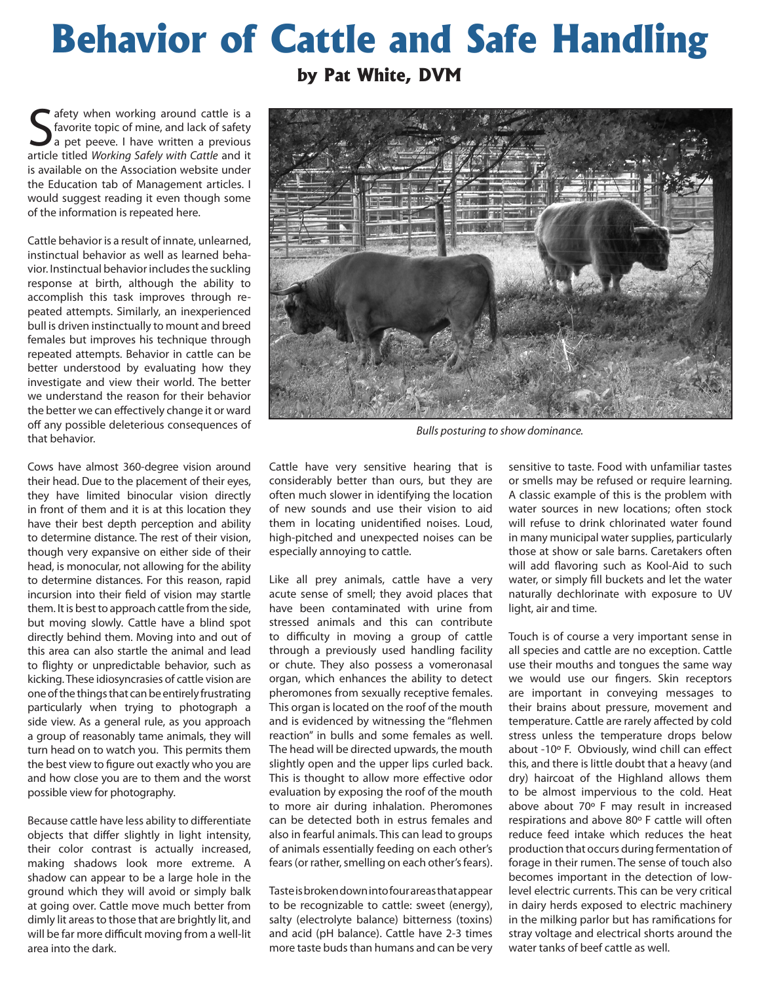## **Behavior of Cattle and Safe Handling**

**by Pat White, DVM**

**S** afety when working around cattle is a favorite topic of mine, and lack of safety a pet peeve. I have written a previous article titled *Working Safely with Cattle* and it afety when working around cattle is a favorite topic of mine, and lack of safety a pet peeve. I have written a previous is available on the Association website under the Education tab of Management articles. I would suggest reading it even though some of the information is repeated here.

Cattle behavior is a result of innate, unlearned, instinctual behavior as well as learned behavior. Instinctual behavior includes the suckling response at birth, although the ability to accomplish this task improves through repeated attempts. Similarly, an inexperienced bull is driven instinctually to mount and breed females but improves his technique through repeated attempts. Behavior in cattle can be better understood by evaluating how they investigate and view their world. The better we understand the reason for their behavior the better we can effectively change it or ward off any possible deleterious consequences of that behavior.

Cows have almost 360-degree vision around their head. Due to the placement of their eyes, they have limited binocular vision directly in front of them and it is at this location they have their best depth perception and ability to determine distance. The rest of their vision, though very expansive on either side of their head, is monocular, not allowing for the ability to determine distances. For this reason, rapid incursion into their field of vision may startle them. It is best to approach cattle from the side, but moving slowly. Cattle have a blind spot directly behind them. Moving into and out of this area can also startle the animal and lead to flighty or unpredictable behavior, such as kicking. These idiosyncrasies of cattle vision are one of the things that can be entirely frustrating particularly when trying to photograph a side view. As a general rule, as you approach a group of reasonably tame animals, they will turn head on to watch you. This permits them the best view to figure out exactly who you are and how close you are to them and the worst possible view for photography.

Because cattle have less ability to differentiate objects that differ slightly in light intensity, their color contrast is actually increased, making shadows look more extreme. A shadow can appear to be a large hole in the ground which they will avoid or simply balk at going over. Cattle move much better from dimly lit areas to those that are brightly lit, and will be far more difficult moving from a well-lit area into the dark.



Like all prey animals, cattle have a very acute sense of smell; they avoid places that have been contaminated with urine from stressed animals and this can contribute to difficulty in moving a group of cattle through a previously used handling facility or chute. They also possess a vomeronasal organ, which enhances the ability to detect pheromones from sexually receptive females. This organ is located on the roof of the mouth and is evidenced by witnessing the "flehmen reaction" in bulls and some females as well. The head will be directed upwards, the mouth slightly open and the upper lips curled back. This is thought to allow more effective odor evaluation by exposing the roof of the mouth to more air during inhalation. Pheromones can be detected both in estrus females and also in fearful animals. This can lead to groups of animals essentially feeding on each other's fears (or rather, smelling on each other's fears).

Taste is broken down into four areas that appear to be recognizable to cattle: sweet (energy), salty (electrolyte balance) bitterness (toxins) and acid (pH balance). Cattle have 2-3 times more taste buds than humans and can be very sensitive to taste. Food with unfamiliar tastes or smells may be refused or require learning. A classic example of this is the problem with water sources in new locations; often stock will refuse to drink chlorinated water found in many municipal water supplies, particularly those at show or sale barns. Caretakers often will add flavoring such as Kool-Aid to such water, or simply fill buckets and let the water naturally dechlorinate with exposure to UV light, air and time.

Touch is of course a very important sense in all species and cattle are no exception. Cattle use their mouths and tongues the same way we would use our fingers. Skin receptors are important in conveying messages to their brains about pressure, movement and temperature. Cattle are rarely affected by cold stress unless the temperature drops below about -10º F. Obviously, wind chill can effect this, and there is little doubt that a heavy (and dry) haircoat of the Highland allows them to be almost impervious to the cold. Heat above about 70º F may result in increased respirations and above 80º F cattle will often reduce feed intake which reduces the heat production that occurs during fermentation of forage in their rumen. The sense of touch also becomes important in the detection of lowlevel electric currents. This can be very critical in dairy herds exposed to electric machinery in the milking parlor but has ramifications for stray voltage and electrical shorts around the water tanks of beef cattle as well.



*Bulls posturing to show dominance.*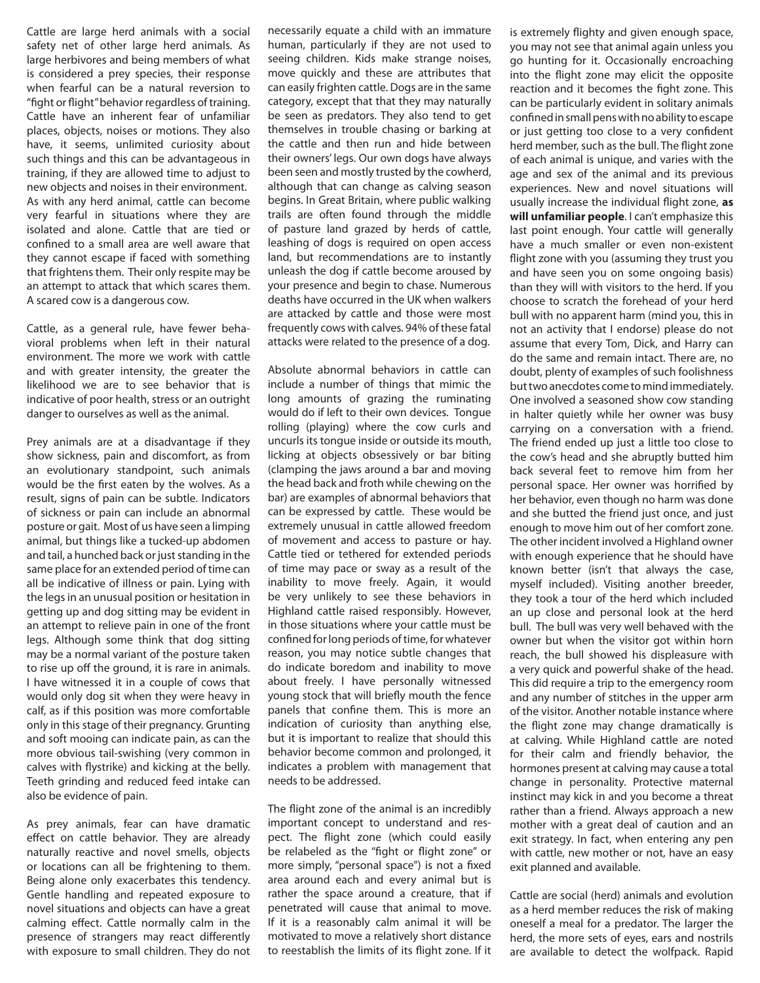Cattle are large herd animals with a social safety net of other large herd animals. As large herbivores and being members of what is considered a prey species, their response when fearful can be a natural reversion to "fight or flight" behavior regardless of training. Cattle have an inherent fear of unfamiliar places, objects, noises or motions. They also have, it seems, unlimited curiosity about such things and this can be advantageous in training, if they are allowed time to adjust to new objects and noises in their environment. As with any herd animal, cattle can become very fearful in situations where they are isolated and alone. Cattle that are tied or confined to a small area are well aware that they cannot escape if faced with something that frightens them. Their only respite may be an attempt to attack that which scares them. A scared cow is a dangerous cow.

Cattle, as a general rule, have fewer behavioral problems when left in their natural environment. The more we work with cattle and with greater intensity, the greater the likelihood we are to see behavior that is indicative of poor health, stress or an outright danger to ourselves as well as the animal.

Prey animals are at a disadvantage if they show sickness, pain and discomfort, as from an evolutionary standpoint, such animals would be the first eaten by the wolves. As a result, signs of pain can be subtle. Indicators of sickness or pain can include an abnormal posture or gait. Most of us have seen a limping animal, but things like a tucked-up abdomen and tail, a hunched back or just standing in the same place for an extended period of time can all be indicative of illness or pain. Lying with the legs in an unusual position or hesitation in getting up and dog sitting may be evident in an attempt to relieve pain in one of the front legs. Although some think that dog sitting may be a normal variant of the posture taken to rise up off the ground, it is rare in animals. I have witnessed it in a couple of cows that would only dog sit when they were heavy in calf, as if this position was more comfortable only in this stage of their pregnancy. Grunting and soft mooing can indicate pain, as can the more obvious tail-swishing (very common in calves with flystrike) and kicking at the belly. Teeth grinding and reduced feed intake can also be evidence of pain.

As prey animals, fear can have dramatic effect on cattle behavior. They are already naturally reactive and novel smells, objects or locations can all be frightening to them. Being alone only exacerbates this tendency. Gentle handling and repeated exposure to novel situations and objects can have a great calming effect. Cattle normally calm in the presence of strangers may react differently with exposure to small children. They do not

necessarily equate a child with an immature human, particularly if they are not used to seeing children. Kids make strange noises, move quickly and these are attributes that can easily frighten cattle. Dogs are in the same category, except that that they may naturally be seen as predators. They also tend to get themselves in trouble chasing or barking at the cattle and then run and hide between their owners' legs. Our own dogs have always been seen and mostly trusted by the cowherd, although that can change as calving season begins. In Great Britain, where public walking trails are often found through the middle of pasture land grazed by herds of cattle, leashing of dogs is required on open access land, but recommendations are to instantly unleash the dog if cattle become aroused by your presence and begin to chase. Numerous deaths have occurred in the UK when walkers are attacked by cattle and those were most frequently cows with calves. 94% of these fatal attacks were related to the presence of a dog.

Absolute abnormal behaviors in cattle can include a number of things that mimic the long amounts of grazing the ruminating would do if left to their own devices. Tongue rolling (playing) where the cow curls and uncurls its tongue inside or outside its mouth, licking at objects obsessively or bar biting (clamping the jaws around a bar and moving the head back and froth while chewing on the bar) are examples of abnormal behaviors that can be expressed by cattle. These would be extremely unusual in cattle allowed freedom of movement and access to pasture or hay. Cattle tied or tethered for extended periods of time may pace or sway as a result of the inability to move freely. Again, it would be very unlikely to see these behaviors in Highland cattle raised responsibly. However, in those situations where your cattle must be confined for long periods of time, for whatever reason, you may notice subtle changes that do indicate boredom and inability to move about freely. I have personally witnessed young stock that will briefly mouth the fence panels that confine them. This is more an indication of curiosity than anything else, but it is important to realize that should this behavior become common and prolonged, it indicates a problem with management that needs to be addressed.

The flight zone of the animal is an incredibly important concept to understand and respect. The flight zone (which could easily be relabeled as the "fight or flight zone" or more simply, "personal space") is not a fixed area around each and every animal but is rather the space around a creature, that if penetrated will cause that animal to move. If it is a reasonably calm animal it will be motivated to move a relatively short distance to reestablish the limits of its flight zone. If it

is extremely flighty and given enough space, you may not see that animal again unless you go hunting for it. Occasionally encroaching into the flight zone may elicit the opposite reaction and it becomes the fight zone. This can be particularly evident in solitary animals confined in small pens with no ability to escape or just getting too close to a very confident herd member, such as the bull. The flight zone of each animal is unique, and varies with the age and sex of the animal and its previous experiences. New and novel situations will usually increase the individual flight zone, **as will unfamiliar people**. I can't emphasize this last point enough. Your cattle will generally have a much smaller or even non-existent flight zone with you (assuming they trust you and have seen you on some ongoing basis) than they will with visitors to the herd. If you choose to scratch the forehead of your herd bull with no apparent harm (mind you, this in not an activity that I endorse) please do not assume that every Tom, Dick, and Harry can do the same and remain intact. There are, no doubt, plenty of examples of such foolishness but two anecdotes come to mind immediately. One involved a seasoned show cow standing in halter quietly while her owner was busy carrying on a conversation with a friend. The friend ended up just a little too close to the cow's head and she abruptly butted him back several feet to remove him from her personal space. Her owner was horrified by her behavior, even though no harm was done and she butted the friend just once, and just enough to move him out of her comfort zone. The other incident involved a Highland owner with enough experience that he should have known better (isn't that always the case, myself included). Visiting another breeder, they took a tour of the herd which included an up close and personal look at the herd bull. The bull was very well behaved with the owner but when the visitor got within horn reach, the bull showed his displeasure with a very quick and powerful shake of the head. This did require a trip to the emergency room and any number of stitches in the upper arm of the visitor. Another notable instance where the flight zone may change dramatically is at calving. While Highland cattle are noted for their calm and friendly behavior, the hormones present at calving may cause a total change in personality. Protective maternal instinct may kick in and you become a threat rather than a friend. Always approach a new mother with a great deal of caution and an exit strategy. In fact, when entering any pen with cattle, new mother or not, have an easy exit planned and available.

Cattle are social (herd) animals and evolution as a herd member reduces the risk of making oneself a meal for a predator. The larger the herd, the more sets of eyes, ears and nostrils are available to detect the wolfpack. Rapid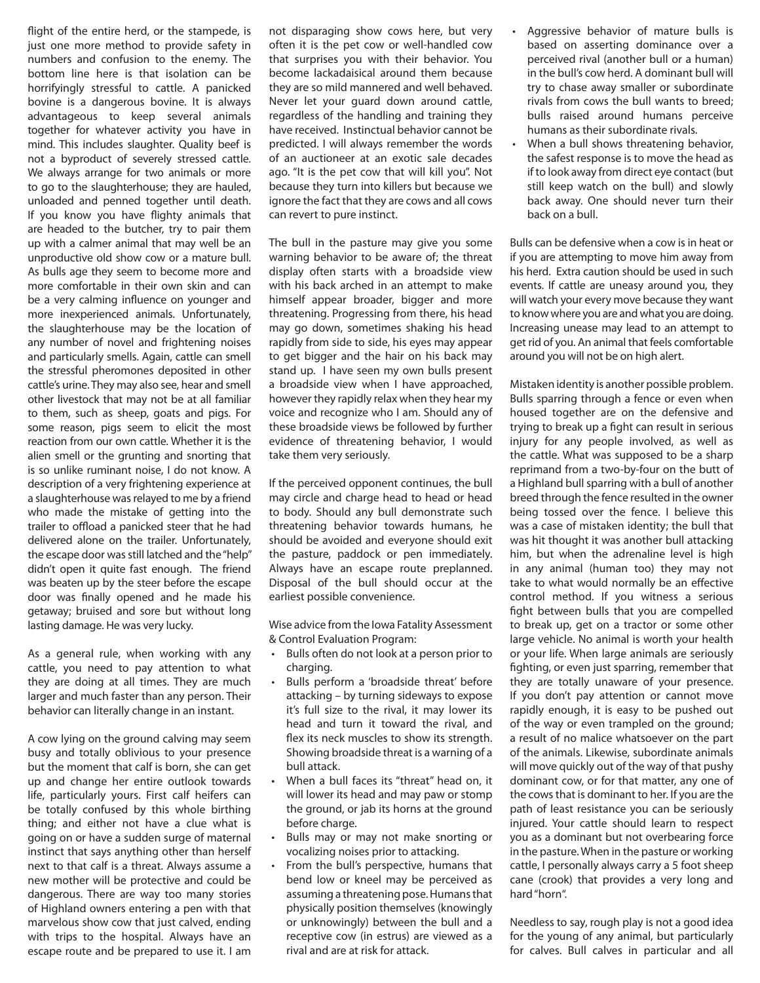flight of the entire herd, or the stampede, is just one more method to provide safety in numbers and confusion to the enemy. The bottom line here is that isolation can be horrifyingly stressful to cattle. A panicked bovine is a dangerous bovine. It is always advantageous to keep several animals together for whatever activity you have in mind. This includes slaughter. Quality beef is not a byproduct of severely stressed cattle. We always arrange for two animals or more to go to the slaughterhouse; they are hauled, unloaded and penned together until death. If you know you have flighty animals that are headed to the butcher, try to pair them up with a calmer animal that may well be an unproductive old show cow or a mature bull. As bulls age they seem to become more and more comfortable in their own skin and can be a very calming influence on younger and more inexperienced animals. Unfortunately, the slaughterhouse may be the location of any number of novel and frightening noises and particularly smells. Again, cattle can smell the stressful pheromones deposited in other cattle's urine. They may also see, hear and smell other livestock that may not be at all familiar to them, such as sheep, goats and pigs. For some reason, pigs seem to elicit the most reaction from our own cattle. Whether it is the alien smell or the grunting and snorting that is so unlike ruminant noise, I do not know. A description of a very frightening experience at a slaughterhouse was relayed to me by a friend who made the mistake of getting into the trailer to offload a panicked steer that he had delivered alone on the trailer. Unfortunately, the escape door was still latched and the "help" didn't open it quite fast enough. The friend was beaten up by the steer before the escape door was finally opened and he made his getaway; bruised and sore but without long lasting damage. He was very lucky.

As a general rule, when working with any cattle, you need to pay attention to what they are doing at all times. They are much larger and much faster than any person. Their behavior can literally change in an instant.

A cow lying on the ground calving may seem busy and totally oblivious to your presence but the moment that calf is born, she can get up and change her entire outlook towards life, particularly yours. First calf heifers can be totally confused by this whole birthing thing; and either not have a clue what is going on or have a sudden surge of maternal instinct that says anything other than herself next to that calf is a threat. Always assume a new mother will be protective and could be dangerous. There are way too many stories of Highland owners entering a pen with that marvelous show cow that just calved, ending with trips to the hospital. Always have an escape route and be prepared to use it. I am

not disparaging show cows here, but very often it is the pet cow or well-handled cow that surprises you with their behavior. You become lackadaisical around them because they are so mild mannered and well behaved. Never let your guard down around cattle, regardless of the handling and training they have received. Instinctual behavior cannot be predicted. I will always remember the words of an auctioneer at an exotic sale decades ago. "It is the pet cow that will kill you". Not because they turn into killers but because we ignore the fact that they are cows and all cows can revert to pure instinct.

The bull in the pasture may give you some warning behavior to be aware of; the threat display often starts with a broadside view with his back arched in an attempt to make himself appear broader, bigger and more threatening. Progressing from there, his head may go down, sometimes shaking his head rapidly from side to side, his eyes may appear to get bigger and the hair on his back may stand up. I have seen my own bulls present a broadside view when I have approached, however they rapidly relax when they hear my voice and recognize who I am. Should any of these broadside views be followed by further evidence of threatening behavior, I would take them very seriously.

If the perceived opponent continues, the bull may circle and charge head to head or head to body. Should any bull demonstrate such threatening behavior towards humans, he should be avoided and everyone should exit the pasture, paddock or pen immediately. Always have an escape route preplanned. Disposal of the bull should occur at the earliest possible convenience.

Wise advice from the Iowa Fatality Assessment & Control Evaluation Program:

- Bulls often do not look at a person prior to charging.
- Bulls perform a 'broadside threat' before attacking – by turning sideways to expose it's full size to the rival, it may lower its head and turn it toward the rival, and flex its neck muscles to show its strength. Showing broadside threat is a warning of a bull attack.
- When a bull faces its "threat" head on, it will lower its head and may paw or stomp the ground, or jab its horns at the ground before charge.
- Bulls may or may not make snorting or vocalizing noises prior to attacking.
- From the bull's perspective, humans that bend low or kneel may be perceived as assuming a threatening pose. Humans that physically position themselves (knowingly or unknowingly) between the bull and a receptive cow (in estrus) are viewed as a rival and are at risk for attack.
- Aggressive behavior of mature bulls is based on asserting dominance over a perceived rival (another bull or a human) in the bull's cow herd. A dominant bull will try to chase away smaller or subordinate rivals from cows the bull wants to breed; bulls raised around humans perceive humans as their subordinate rivals.
- When a bull shows threatening behavior, the safest response is to move the head as if to look away from direct eye contact (but still keep watch on the bull) and slowly back away. One should never turn their back on a bull.

Bulls can be defensive when a cow is in heat or if you are attempting to move him away from his herd. Extra caution should be used in such events. If cattle are uneasy around you, they will watch your every move because they want to know where you are and what you are doing. Increasing unease may lead to an attempt to get rid of you. An animal that feels comfortable around you will not be on high alert.

Mistaken identity is another possible problem. Bulls sparring through a fence or even when housed together are on the defensive and trying to break up a fight can result in serious injury for any people involved, as well as the cattle. What was supposed to be a sharp reprimand from a two-by-four on the butt of a Highland bull sparring with a bull of another breed through the fence resulted in the owner being tossed over the fence. I believe this was a case of mistaken identity; the bull that was hit thought it was another bull attacking him, but when the adrenaline level is high in any animal (human too) they may not take to what would normally be an effective control method. If you witness a serious fight between bulls that you are compelled to break up, get on a tractor or some other large vehicle. No animal is worth your health or your life. When large animals are seriously fighting, or even just sparring, remember that they are totally unaware of your presence. If you don't pay attention or cannot move rapidly enough, it is easy to be pushed out of the way or even trampled on the ground; a result of no malice whatsoever on the part of the animals. Likewise, subordinate animals will move quickly out of the way of that pushy dominant cow, or for that matter, any one of the cows that is dominant to her. If you are the path of least resistance you can be seriously injured. Your cattle should learn to respect you as a dominant but not overbearing force in the pasture. When in the pasture or working cattle, I personally always carry a 5 foot sheep cane (crook) that provides a very long and hard "horn".

Needless to say, rough play is not a good idea for the young of any animal, but particularly for calves. Bull calves in particular and all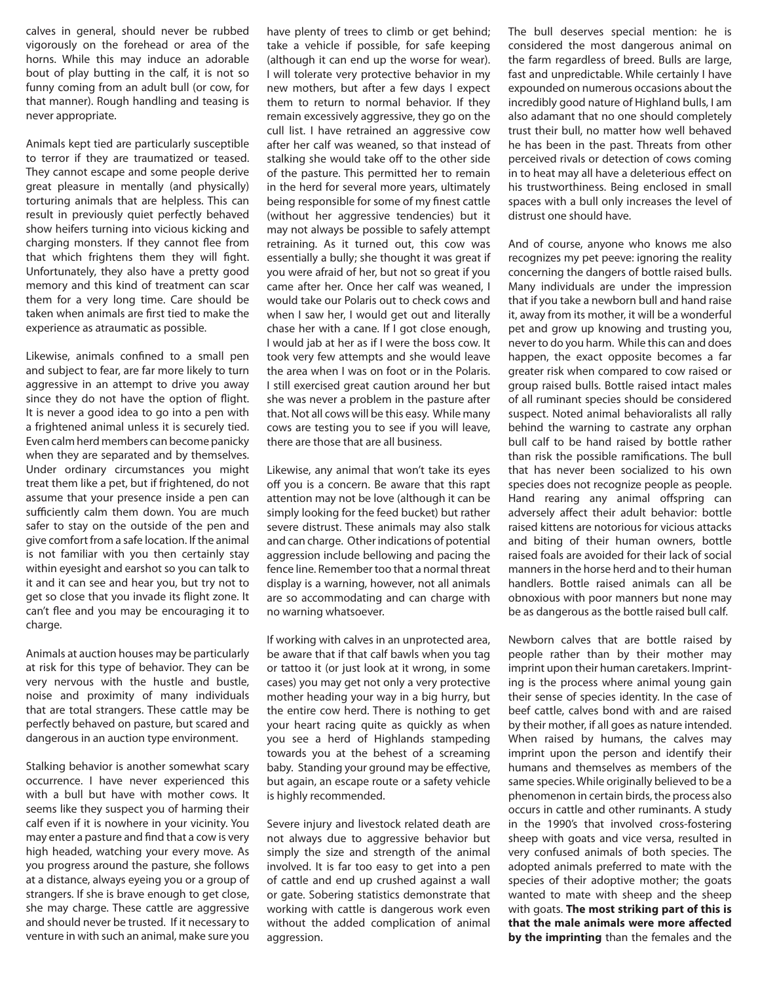calves in general, should never be rubbed vigorously on the forehead or area of the horns. While this may induce an adorable bout of play butting in the calf, it is not so funny coming from an adult bull (or cow, for that manner). Rough handling and teasing is never appropriate.

Animals kept tied are particularly susceptible to terror if they are traumatized or teased. They cannot escape and some people derive great pleasure in mentally (and physically) torturing animals that are helpless. This can result in previously quiet perfectly behaved show heifers turning into vicious kicking and charging monsters. If they cannot flee from that which frightens them they will fight. Unfortunately, they also have a pretty good memory and this kind of treatment can scar them for a very long time. Care should be taken when animals are first tied to make the experience as atraumatic as possible.

Likewise, animals confined to a small pen and subject to fear, are far more likely to turn aggressive in an attempt to drive you away since they do not have the option of flight. It is never a good idea to go into a pen with a frightened animal unless it is securely tied. Even calm herd members can become panicky when they are separated and by themselves. Under ordinary circumstances you might treat them like a pet, but if frightened, do not assume that your presence inside a pen can sufficiently calm them down. You are much safer to stay on the outside of the pen and give comfort from a safe location. If the animal is not familiar with you then certainly stay within eyesight and earshot so you can talk to it and it can see and hear you, but try not to get so close that you invade its flight zone. It can't flee and you may be encouraging it to charge.

Animals at auction houses may be particularly at risk for this type of behavior. They can be very nervous with the hustle and bustle, noise and proximity of many individuals that are total strangers. These cattle may be perfectly behaved on pasture, but scared and dangerous in an auction type environment.

Stalking behavior is another somewhat scary occurrence. I have never experienced this with a bull but have with mother cows. It seems like they suspect you of harming their calf even if it is nowhere in your vicinity. You may enter a pasture and find that a cow is very high headed, watching your every move. As you progress around the pasture, she follows at a distance, always eyeing you or a group of strangers. If she is brave enough to get close, she may charge. These cattle are aggressive and should never be trusted. If it necessary to venture in with such an animal, make sure you

have plenty of trees to climb or get behind; take a vehicle if possible, for safe keeping (although it can end up the worse for wear). I will tolerate very protective behavior in my new mothers, but after a few days I expect them to return to normal behavior. If they remain excessively aggressive, they go on the cull list. I have retrained an aggressive cow after her calf was weaned, so that instead of stalking she would take off to the other side of the pasture. This permitted her to remain in the herd for several more years, ultimately being responsible for some of my finest cattle (without her aggressive tendencies) but it may not always be possible to safely attempt retraining. As it turned out, this cow was essentially a bully; she thought it was great if you were afraid of her, but not so great if you came after her. Once her calf was weaned, I would take our Polaris out to check cows and when I saw her, I would get out and literally chase her with a cane. If I got close enough, I would jab at her as if I were the boss cow. It took very few attempts and she would leave the area when I was on foot or in the Polaris. I still exercised great caution around her but she was never a problem in the pasture after that. Not all cows will be this easy. While many cows are testing you to see if you will leave, there are those that are all business.

Likewise, any animal that won't take its eyes off you is a concern. Be aware that this rapt attention may not be love (although it can be simply looking for the feed bucket) but rather severe distrust. These animals may also stalk and can charge. Other indications of potential aggression include bellowing and pacing the fence line. Remember too that a normal threat display is a warning, however, not all animals are so accommodating and can charge with no warning whatsoever.

If working with calves in an unprotected area, be aware that if that calf bawls when you tag or tattoo it (or just look at it wrong, in some cases) you may get not only a very protective mother heading your way in a big hurry, but the entire cow herd. There is nothing to get your heart racing quite as quickly as when you see a herd of Highlands stampeding towards you at the behest of a screaming baby. Standing your ground may be effective, but again, an escape route or a safety vehicle is highly recommended.

Severe injury and livestock related death are not always due to aggressive behavior but simply the size and strength of the animal involved. It is far too easy to get into a pen of cattle and end up crushed against a wall or gate. Sobering statistics demonstrate that working with cattle is dangerous work even without the added complication of animal aggression.

The bull deserves special mention: he is considered the most dangerous animal on the farm regardless of breed. Bulls are large, fast and unpredictable. While certainly I have expounded on numerous occasions about the incredibly good nature of Highland bulls, I am also adamant that no one should completely trust their bull, no matter how well behaved he has been in the past. Threats from other perceived rivals or detection of cows coming in to heat may all have a deleterious effect on his trustworthiness. Being enclosed in small spaces with a bull only increases the level of distrust one should have.

And of course, anyone who knows me also recognizes my pet peeve: ignoring the reality concerning the dangers of bottle raised bulls. Many individuals are under the impression that if you take a newborn bull and hand raise it, away from its mother, it will be a wonderful pet and grow up knowing and trusting you, never to do you harm. While this can and does happen, the exact opposite becomes a far greater risk when compared to cow raised or group raised bulls. Bottle raised intact males of all ruminant species should be considered suspect. Noted animal behavioralists all rally behind the warning to castrate any orphan bull calf to be hand raised by bottle rather than risk the possible ramifications. The bull that has never been socialized to his own species does not recognize people as people. Hand rearing any animal offspring can adversely affect their adult behavior: bottle raised kittens are notorious for vicious attacks and biting of their human owners, bottle raised foals are avoided for their lack of social manners in the horse herd and to their human handlers. Bottle raised animals can all be obnoxious with poor manners but none may be as dangerous as the bottle raised bull calf.

Newborn calves that are bottle raised by people rather than by their mother may imprint upon their human caretakers. Imprinting is the process where animal young gain their sense of species identity. In the case of beef cattle, calves bond with and are raised by their mother, if all goes as nature intended. When raised by humans, the calves may imprint upon the person and identify their humans and themselves as members of the same species. While originally believed to be a phenomenon in certain birds, the process also occurs in cattle and other ruminants. A study in the 1990's that involved cross-fostering sheep with goats and vice versa, resulted in very confused animals of both species. The adopted animals preferred to mate with the species of their adoptive mother; the goats wanted to mate with sheep and the sheep with goats. **The most striking part of this is that the male animals were more affected by the imprinting** than the females and the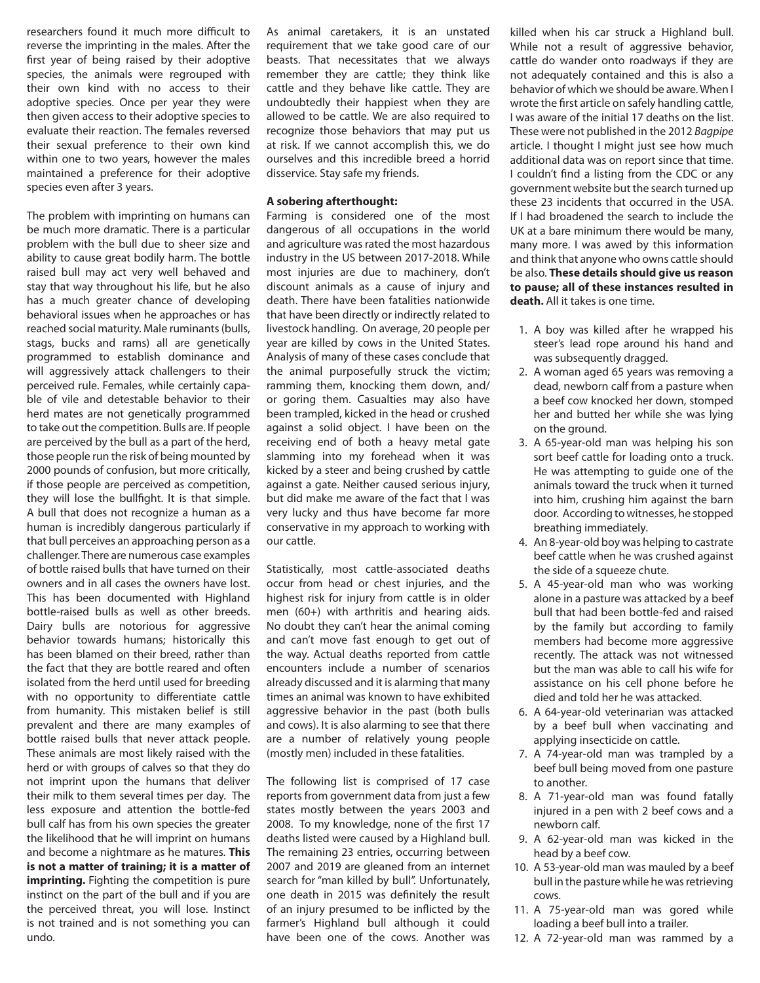researchers found it much more difficult to reverse the imprinting in the males. After the first year of being raised by their adoptive species, the animals were regrouped with their own kind with no access to their adoptive species. Once per year they were then given access to their adoptive species to evaluate their reaction. The females reversed their sexual preference to their own kind within one to two years, however the males maintained a preference for their adoptive species even after 3 years.

The problem with imprinting on humans can be much more dramatic. There is a particular problem with the bull due to sheer size and ability to cause great bodily harm. The bottle raised bull may act very well behaved and stay that way throughout his life, but he also has a much greater chance of developing behavioral issues when he approaches or has reached social maturity. Male ruminants (bulls, stags, bucks and rams) all are genetically programmed to establish dominance and will aggressively attack challengers to their perceived rule. Females, while certainly capable of vile and detestable behavior to their herd mates are not genetically programmed to take out the competition. Bulls are. If people are perceived by the bull as a part of the herd, those people run the risk of being mounted by 2000 pounds of confusion, but more critically, if those people are perceived as competition, they will lose the bullfight. It is that simple. A bull that does not recognize a human as a human is incredibly dangerous particularly if that bull perceives an approaching person as a challenger. There are numerous case examples of bottle raised bulls that have turned on their owners and in all cases the owners have lost. This has been documented with Highland bottle-raised bulls as well as other breeds. Dairy bulls are notorious for aggressive behavior towards humans; historically this has been blamed on their breed, rather than the fact that they are bottle reared and often isolated from the herd until used for breeding with no opportunity to differentiate cattle from humanity. This mistaken belief is still prevalent and there are many examples of bottle raised bulls that never attack people. These animals are most likely raised with the herd or with groups of calves so that they do not imprint upon the humans that deliver their milk to them several times per day. The less exposure and attention the bottle-fed bull calf has from his own species the greater the likelihood that he will imprint on humans and become a nightmare as he matures. **This is not a matter of training; it is a matter of imprinting.** Fighting the competition is pure instinct on the part of the bull and if you are the perceived threat, you will lose. Instinct is not trained and is not something you can undo.

As animal caretakers, it is an unstated requirement that we take good care of our beasts. That necessitates that we always remember they are cattle; they think like cattle and they behave like cattle. They are undoubtedly their happiest when they are allowed to be cattle. We are also required to recognize those behaviors that may put us at risk. If we cannot accomplish this, we do ourselves and this incredible breed a horrid disservice. Stay safe my friends.

## **A sobering afterthought:**

Farming is considered one of the most dangerous of all occupations in the world and agriculture was rated the most hazardous industry in the US between 2017-2018. While most injuries are due to machinery, don't discount animals as a cause of injury and death. There have been fatalities nationwide that have been directly or indirectly related to livestock handling. On average, 20 people per year are killed by cows in the United States. Analysis of many of these cases conclude that the animal purposefully struck the victim; ramming them, knocking them down, and/ or goring them. Casualties may also have been trampled, kicked in the head or crushed against a solid object. I have been on the receiving end of both a heavy metal gate slamming into my forehead when it was kicked by a steer and being crushed by cattle against a gate. Neither caused serious injury, but did make me aware of the fact that I was very lucky and thus have become far more conservative in my approach to working with our cattle.

Statistically, most cattle-associated deaths occur from head or chest injuries, and the highest risk for injury from cattle is in older men (60+) with arthritis and hearing aids. No doubt they can't hear the animal coming and can't move fast enough to get out of the way. Actual deaths reported from cattle encounters include a number of scenarios already discussed and it is alarming that many times an animal was known to have exhibited aggressive behavior in the past (both bulls and cows). It is also alarming to see that there are a number of relatively young people (mostly men) included in these fatalities.

The following list is comprised of 17 case reports from government data from just a few states mostly between the years 2003 and 2008. To my knowledge, none of the first 17 deaths listed were caused by a Highland bull. The remaining 23 entries, occurring between 2007 and 2019 are gleaned from an internet search for "man killed by bull". Unfortunately, one death in 2015 was definitely the result of an injury presumed to be inflicted by the farmer's Highland bull although it could have been one of the cows. Another was

killed when his car struck a Highland bull. While not a result of aggressive behavior, cattle do wander onto roadways if they are not adequately contained and this is also a behavior of which we should be aware. When I wrote the first article on safely handling cattle, I was aware of the initial 17 deaths on the list. These were not published in the 2012 *Bagpipe*  article. I thought I might just see how much additional data was on report since that time. I couldn't find a listing from the CDC or any government website but the search turned up these 23 incidents that occurred in the USA. If I had broadened the search to include the UK at a bare minimum there would be many, many more. I was awed by this information and think that anyone who owns cattle should be also. **These details should give us reason to pause; all of these instances resulted in death.** All it takes is one time.

- 1. A boy was killed after he wrapped his steer's lead rope around his hand and was subsequently dragged.
- 2. A woman aged 65 years was removing a dead, newborn calf from a pasture when a beef cow knocked her down, stomped her and butted her while she was lying on the ground.
- 3. A 65-year-old man was helping his son sort beef cattle for loading onto a truck. He was attempting to guide one of the animals toward the truck when it turned into him, crushing him against the barn door. According to witnesses, he stopped breathing immediately.
- 4. An 8-year-old boy was helping to castrate beef cattle when he was crushed against the side of a squeeze chute.
- 5. A 45-year-old man who was working alone in a pasture was attacked by a beef bull that had been bottle-fed and raised by the family but according to family members had become more aggressive recently. The attack was not witnessed but the man was able to call his wife for assistance on his cell phone before he died and told her he was attacked.
- 6. A 64-year-old veterinarian was attacked by a beef bull when vaccinating and applying insecticide on cattle.
- 7. A 74-year-old man was trampled by a beef bull being moved from one pasture to another.
- 8. A 71-year-old man was found fatally injured in a pen with 2 beef cows and a newborn calf.
- 9. A 62-year-old man was kicked in the head by a beef cow.
- 10. A 53-year-old man was mauled by a beef bull in the pasture while he was retrieving cows.
- 11. A 75-year-old man was gored while loading a beef bull into a trailer.
- 12. A 72-year-old man was rammed by a